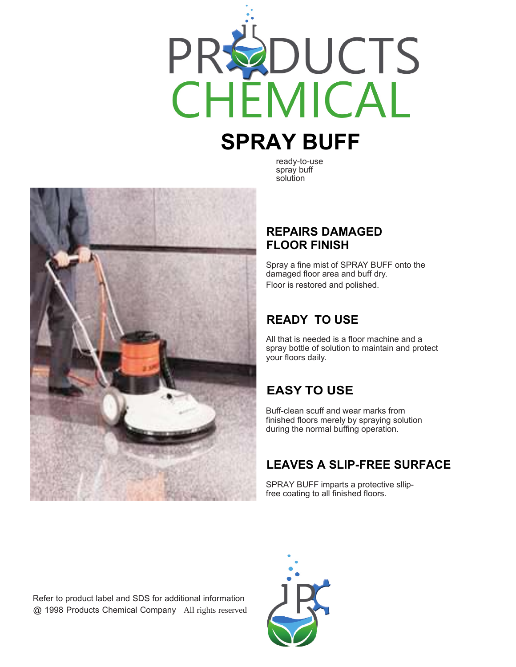

# **SPRAY BUFF**

ready-to-use spray buff solution



#### **REPAIRS DAMAGED FLOOR FINISH**

Spray a fine mist of SPRAY BUFF onto the damaged floor area and buff dry. Floor is restored and polished.

### **READY TO USE**

All that is needed is a floor machine and a spray bottle of solution to maintain and protect your floors daily.

# **EASY TO USE**

Buff-clean scuff and wear marks from finished floors merely by spraying solution during the normal buffing operation.

## **LEAVES A SLIP-FREE SURFACE**

SPRAY BUFF imparts a protective sllipfree coating to all finished floors.

Refer to product label and SDS for additional information @ 1998 Products Chemical Company All rights reserved